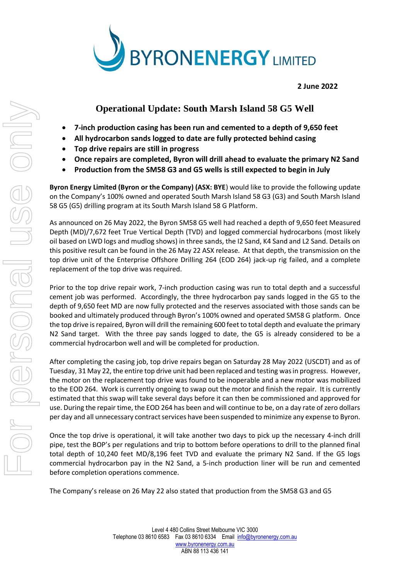

**2 June 2022**

# **Operational Update: South Marsh Island 58 G5 Well**

- **7-inch production casing has been run and cemented to a depth of 9,650 feet**
- **All hydrocarbon sands logged to date are fully protected behind casing**
- **Top drive repairs are still in progress**
- **Once repairs are completed, Byron will drill ahead to evaluate the primary N2 Sand**
- **Production from the SM58 G3 and G5 wells is still expected to begin in July**

**Byron Energy Limited (Byron or the Company) (ASX: BYE**) would like to provide the following update on the Company's 100% owned and operated South Marsh Island 58 G3 (G3) and South Marsh Island 58 G5 (G5) drilling program at its South Marsh Island 58 G Platform.

As announced on 26 May 2022, the Byron SM58 G5 well had reached a depth of 9,650 feet Measured Depth (MD)/7,672 feet True Vertical Depth (TVD) and logged commercial hydrocarbons (most likely oil based on LWD logs and mudlog shows) in three sands, the I2 Sand, K4 Sand and L2 Sand. Details on this positive result can be found in the 26 May 22 ASX release. At that depth, the transmission on the top drive unit of the Enterprise Offshore Drilling 264 (EOD 264) jack-up rig failed, and a complete replacement of the top drive was required.

Prior to the top drive repair work, 7-inch production casing was run to total depth and a successful cement job was performed. Accordingly, the three hydrocarbon pay sands logged in the G5 to the depth of 9,650 feet MD are now fully protected and the reserves associated with those sands can be booked and ultimately produced through Byron's 100% owned and operated SM58 G platform. Once the top drive is repaired, Byron will drill the remaining 600 feet to total depth and evaluate the primary N2 Sand target. With the three pay sands logged to date, the G5 is already considered to be a commercial hydrocarbon well and will be completed for production.

After completing the casing job, top drive repairs began on Saturday 28 May 2022 (USCDT) and as of Tuesday, 31 May 22, the entire top drive unit had been replaced and testing was in progress. However, the motor on the replacement top drive was found to be inoperable and a new motor was mobilized to the EOD 264. Work is currently ongoing to swap out the motor and finish the repair. It is currently estimated that this swap will take several days before it can then be commissioned and approved for use. During the repair time, the EOD 264 has been and will continue to be, on a day rate of zero dollars per day and all unnecessary contract services have been suspended to minimize any expense to Byron.

Once the top drive is operational, it will take another two days to pick up the necessary 4-inch drill pipe, test the BOP's per regulations and trip to bottom before operations to drill to the planned final total depth of 10,240 feet MD/8,196 feet TVD and evaluate the primary N2 Sand. If the G5 logs commercial hydrocarbon pay in the N2 Sand, a 5-inch production liner will be run and cemented before completion operations commence.

The Company's release on 26 May 22 also stated that production from the SM58 G3 and G5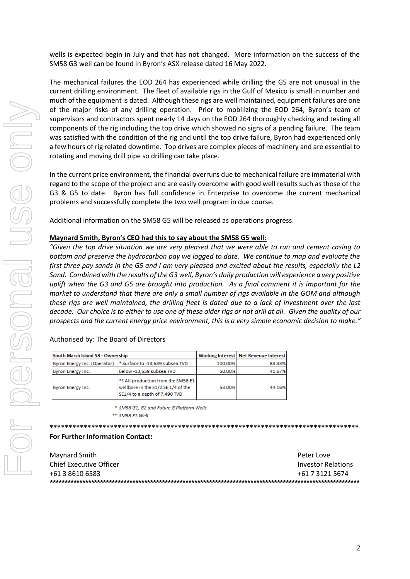wells is expected begin in July and that has not changed. More information on the success of the SM58 G3 well can be found in Byron's ASX release dated 16 May 2022.

The mechanical failures the EOD 264 has experienced while drilling the G5 are not unusual in the current drilling environment. The fleet of available rigs in the Gulf of Mexico is small in number and much of the equipment is dated. Although these rigs are well maintained, equipment failures are one of the major risks of any drilling operation. Prior to mobilizing the EOD 264, Byron's team of supervisors and contractors spent nearly 14 days on the EOD 264 thoroughly checking and testing all components of the rig including the top drive which showed no signs of a pending failure. The team was satisfied with the condition of the rig and until the top drive failure, Byron had experienced only a few hours of rig related downtime. Top drives are complex pieces of machinery and are essential to rotating and moving drill pipe so drilling can take place.

In the current price environment, the financial overruns due to mechanical failure are immaterial with regard to the scope of the project and are easily overcome with good well results such as those of the G3 & G5 to date. Byron has full confidence in Enterprise to overcome the current mechanical problems and successfully complete the two well program in due course.

Additional information on the SM58 G5 will be released as operations progress.

### **Maynard Smith, Byron's CEO had this to say about the SM58 G5 well:**

*"Given the top drive situation we are very pleased that we were able to run and cement casing to bottom and preserve the hydrocarbon pay we logged to date. We continue to map and evaluate the first three pay sands in the G5 and I am very pleased and excited about the results, especially the L2 Sand. Combined with the results of the G3 well, Byron's daily production will experience a very positive uplift when the G3 and G5 are brought into production. As a final comment it is important for the market to understand that there are only a small number of rigs available in the GOM and although these rigs are well maintained, the drilling fleet is dated due to a lack of investment over the last decade. Our choice is to either to use one of these older rigs or not drill at all. Given the quality of our prospects and the current energy price environment, this is a very simple economic decision to make."*

Authorised by: The Board of Directors

| South Marsh Island 58 - Ownership |                                                                                                           |         | Working Interest   Net Revenue Interest |
|-----------------------------------|-----------------------------------------------------------------------------------------------------------|---------|-----------------------------------------|
| Byron Energy Inc. (Operator)      | * Surface to -13,639 subsea TVD                                                                           | 100.00% | 83.33%                                  |
| Byron Energy Inc.                 | Below -13,639 subsea TVD                                                                                  | 50.00%  | 41.67%                                  |
| Byron Energy Inc.                 | ** All production from the SM58 E1<br>wellbore in the S1/2 SE 1/4 of the<br>SE1/4 to a depth of 7,490 TVD | 53.00%  | 44.16%                                  |

\* SM58 G1, G2 and Future G Platform Wells

\*\* SM58 E1 Well

**\*\*\*\*\*\*\*\*\*\*\*\*\*\*\*\*\*\*\*\*\*\*\*\*\*\*\*\*\*\*\*\*\*\*\*\*\*\*\*\*\*\*\*\*\*\*\*\*\*\*\*\*\*\*\*\*\*\*\*\*\*\*\*\*\*\*\*\*\*\*\*\*\*\*\*\*\*\*\*\*\*\***

#### **For Further Information Contact:**

| Maynard Smith           | Peter Love                |
|-------------------------|---------------------------|
| Chief Executive Officer | <b>Investor Relations</b> |
| +61 3 8610 6583         | +61 7 3121 5674           |
|                         |                           |